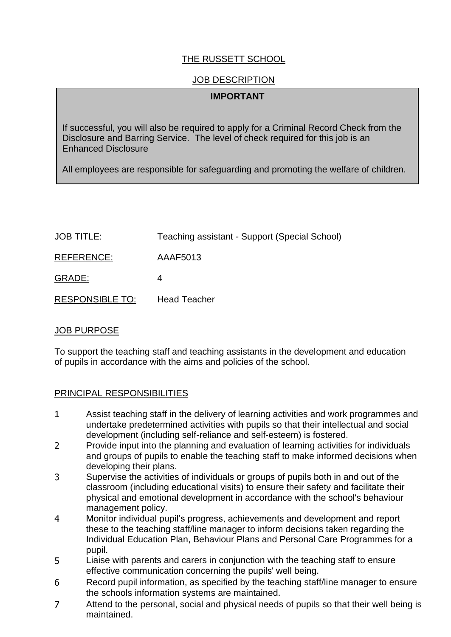# THE RUSSETT SCHOOL

# JOB DESCRIPTION

## **IMPORTANT**

If successful, you will also be required to apply for a Criminal Record Check from the Disclosure and Barring Service. The level of check required for this job is an Enhanced Disclosure

All employees are responsible for safeguarding and promoting the welfare of children.

| <b>JOB TITLE:</b>      | Teaching assistant - Support (Special School) |
|------------------------|-----------------------------------------------|
| REFERENCE:             | AAAF5013                                      |
| GRADE:                 |                                               |
| <b>RESPONSIBLE TO:</b> | <b>Head Teacher</b>                           |

### JOB PURPOSE

To support the teaching staff and teaching assistants in the development and education of pupils in accordance with the aims and policies of the school.

### PRINCIPAL RESPONSIBILITIES

- 1 Assist teaching staff in the delivery of learning activities and work programmes and undertake predetermined activities with pupils so that their intellectual and social development (including self-reliance and self-esteem) is fostered.
- 2 Provide input into the planning and evaluation of learning activities for individuals and groups of pupils to enable the teaching staff to make informed decisions when developing their plans.
- 3 Supervise the activities of individuals or groups of pupils both in and out of the classroom (including educational visits) to ensure their safety and facilitate their physical and emotional development in accordance with the school's behaviour management policy.
- 4 Monitor individual pupil's progress, achievements and development and report these to the teaching staff/line manager to inform decisions taken regarding the Individual Education Plan, Behaviour Plans and Personal Care Programmes for a pupil.
- 5 Liaise with parents and carers in conjunction with the teaching staff to ensure effective communication concerning the pupils' well being.
- 6 Record pupil information, as specified by the teaching staff/line manager to ensure the schools information systems are maintained.
- 7 Attend to the personal, social and physical needs of pupils so that their well being is maintained.